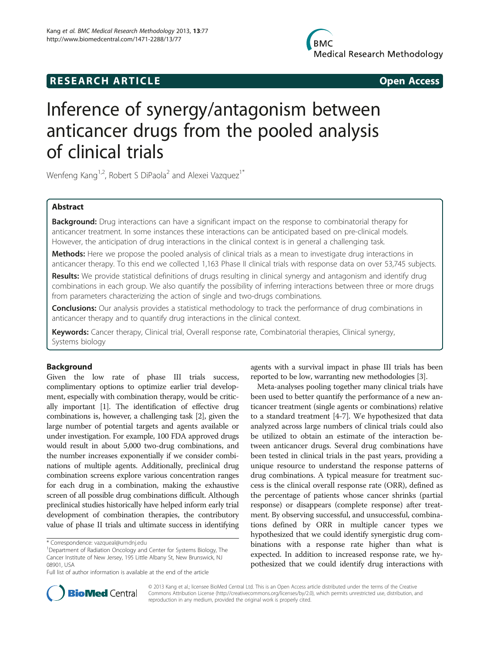# **RESEARCH ARTICLE Example 2014 The SEAR CH ACCESS**

# Inference of synergy/antagonism between anticancer drugs from the pooled analysis of clinical trials

Wenfeng Kang<sup>1,2</sup>, Robert S DiPaola<sup>2</sup> and Alexei Vazquez<sup>1\*</sup>

# Abstract

**Background:** Drug interactions can have a significant impact on the response to combinatorial therapy for anticancer treatment. In some instances these interactions can be anticipated based on pre-clinical models. However, the anticipation of drug interactions in the clinical context is in general a challenging task.

Methods: Here we propose the pooled analysis of clinical trials as a mean to investigate drug interactions in anticancer therapy. To this end we collected 1,163 Phase II clinical trials with response data on over 53,745 subjects.

Results: We provide statistical definitions of drugs resulting in clinical synergy and antagonism and identify drug combinations in each group. We also quantify the possibility of inferring interactions between three or more drugs from parameters characterizing the action of single and two-drugs combinations.

Conclusions: Our analysis provides a statistical methodology to track the performance of drug combinations in anticancer therapy and to quantify drug interactions in the clinical context.

Keywords: Cancer therapy, Clinical trial, Overall response rate, Combinatorial therapies, Clinical synergy, Systems biology

# Background

Given the low rate of phase III trials success, complimentary options to optimize earlier trial development, especially with combination therapy, would be critically important [[1](#page-7-0)]. The identification of effective drug combinations is, however, a challenging task [[2](#page-7-0)], given the large number of potential targets and agents available or under investigation. For example, 100 FDA approved drugs would result in about 5,000 two-drug combinations, and the number increases exponentially if we consider combinations of multiple agents. Additionally, preclinical drug combination screens explore various concentration ranges for each drug in a combination, making the exhaustive screen of all possible drug combinations difficult. Although preclinical studies historically have helped inform early trial development of combination therapies, the contributory value of phase II trials and ultimate success in identifying agents with a survival impact in phase III trials has been reported to be low, warranting new methodologies [[3\]](#page-7-0).

Meta-analyses pooling together many clinical trials have been used to better quantify the performance of a new anticancer treatment (single agents or combinations) relative to a standard treatment [[4-7\]](#page-7-0). We hypothesized that data analyzed across large numbers of clinical trials could also be utilized to obtain an estimate of the interaction between anticancer drugs. Several drug combinations have been tested in clinical trials in the past years, providing a unique resource to understand the response patterns of drug combinations. A typical measure for treatment success is the clinical overall response rate (ORR), defined as the percentage of patients whose cancer shrinks (partial response) or disappears (complete response) after treatment. By observing successful, and unsuccessful, combinations defined by ORR in multiple cancer types we hypothesized that we could identify synergistic drug combinations with a response rate higher than what is expected. In addition to increased response rate, we hypothesized that we could identify drug interactions with



© 2013 Kang et al.; licensee BioMed Central Ltd. This is an Open Access article distributed under the terms of the Creative Commons Attribution License [\(http://creativecommons.org/licenses/by/2.0\)](http://creativecommons.org/licenses/by/2.0), which permits unrestricted use, distribution, and reproduction in any medium, provided the original work is properly cited.

<sup>\*</sup> Correspondence: [vazqueal@umdnj.edu](mailto:vazqueal@umdnj.edu) <sup>1</sup>

<sup>&</sup>lt;sup>1</sup> Department of Radiation Oncology and Center for Systems Biology, The Cancer Institute of New Jersey, 195 Little Albany St, New Brunswick, NJ 08901, USA

Full list of author information is available at the end of the article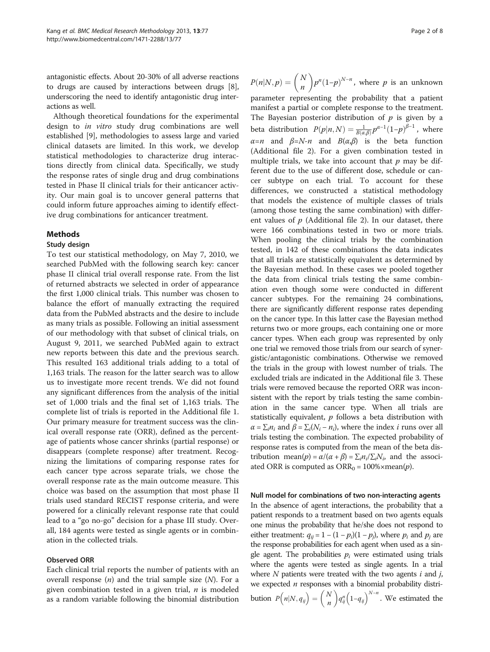<span id="page-1-0"></span>antagonistic effects. About 20-30% of all adverse reactions to drugs are caused by interactions between drugs [[8](#page-7-0)], underscoring the need to identify antagonistic drug interactions as well.

Although theoretical foundations for the experimental design to in vitro study drug combinations are well established [\[9\]](#page-7-0), methodologies to assess large and varied clinical datasets are limited. In this work, we develop statistical methodologies to characterize drug interactions directly from clinical data. Specifically, we study the response rates of single drug and drug combinations tested in Phase II clinical trials for their anticancer activity. Our main goal is to uncover general patterns that could inform future approaches aiming to identify effective drug combinations for anticancer treatment.

#### Methods

#### Study design

To test our statistical methodology, on May 7, 2010, we searched PubMed with the following search key: cancer phase II clinical trial overall response rate. From the list of returned abstracts we selected in order of appearance the first 1,000 clinical trials. This number was chosen to balance the effort of manually extracting the required data from the PubMed abstracts and the desire to include as many trials as possible. Following an initial assessment of our methodology with that subset of clinical trials, on August 9, 2011, we searched PubMed again to extract new reports between this date and the previous search. This resulted 163 additional trials adding to a total of 1,163 trials. The reason for the latter search was to allow us to investigate more recent trends. We did not found any significant differences from the analysis of the initial set of 1,000 trials and the final set of 1,163 trials. The complete list of trials is reported in the Additional file [1](#page-7-0). Our primary measure for treatment success was the clinical overall response rate (ORR), defined as the percentage of patients whose cancer shrinks (partial response) or disappears (complete response) after treatment. Recognizing the limitations of comparing response rates for each cancer type across separate trials, we chose the overall response rate as the main outcome measure. This choice was based on the assumption that most phase II trials used standard RECIST response criteria, and were powered for a clinically relevant response rate that could lead to a "go no-go" decision for a phase III study. Overall, 184 agents were tested as single agents or in combination in the collected trials.

#### Observed ORR

Each clinical trial reports the number of patients with an overall response  $(n)$  and the trial sample size  $(N)$ . For a given combination tested in a given trial,  $n$  is modeled as a random variable following the binomial distribution

 $P(n|N,p) = \binom{N}{n}$ n parameter representing the probability that a patient  $\binom{N}{n} p^n (1-p)^{N-n}$ , where p is an unknown manifest a partial or complete response to the treatment. The Bayesian posterior distribution of  $p$  is given by a beta distribution  $P(p|n,N) = \frac{1}{B(\alpha,\beta)} p^{\alpha-1} (1-p)^{\beta-1}$ , where  $\alpha = n$  and  $\beta = N-n$  and  $B(\alpha,\beta)$  is the beta function (Additional file [2\)](#page-7-0). For a given combination tested in multiple trials, we take into account that  $p$  may be different due to the use of different dose, schedule or cancer subtype on each trial. To account for these differences, we constructed a statistical methodology that models the existence of multiple classes of trials (among those testing the same combination) with different values of  $p$  (Additional file [2\)](#page-7-0). In our dataset, there were 166 combinations tested in two or more trials. When pooling the clinical trials by the combination tested, in 142 of these combinations the data indicates that all trials are statistically equivalent as determined by the Bayesian method. In these cases we pooled together the data from clinical trials testing the same combination even though some were conducted in different cancer subtypes. For the remaining 24 combinations, there are significantly different response rates depending on the cancer type. In this latter case the Bayesian method returns two or more groups, each containing one or more cancer types. When each group was represented by only one trial we removed those trials from our search of synergistic/antagonistic combinations. Otherwise we removed the trials in the group with lowest number of trials. The excluded trials are indicated in the Additional file [3.](#page-7-0) These trials were removed because the reported ORR was inconsistent with the report by trials testing the same combination in the same cancer type. When all trials are statistically equivalent,  $p$  follows a beta distribution with  $\alpha = \sum_i n_i$  and  $\beta = \sum_i (N_i - n_i)$ , where the index *i* runs over all trials testing the combination. The expected probability of response rates is computed from the mean of the beta distribution mean $(p) = \alpha/(\alpha + \beta) = \sum_i n_i / \sum_i N_i$ , and the associated ORR is computed as  $\text{ORR}_0 = 100\% \times \text{mean}(p)$ .

Null model for combinations of two non-interacting agents

In the absence of agent interactions, the probability that a patient responds to a treatment based on two agents equals one minus the probability that he/she does not respond to either treatment:  $q_{ij} = 1 - (1 - p_i)(1 - p_j)$ , where  $p_i$  and  $p_j$  are<br>the response probabilities for each agent when used as a sin the response probabilities for each agent when used as a single agent. The probabilities  $p_i$  were estimated using trials where the agents were tested as single agents. In a trial where  $N$  patients were treated with the two agents  $i$  and  $j$ , we expected  $n$  responses with a binomial probability distribution  $P(n|N, q_{ij}) = {N \choose n}$  $q_{ij}^n\left(1-q_{ij}\right)^{N-n}$ . We estimated the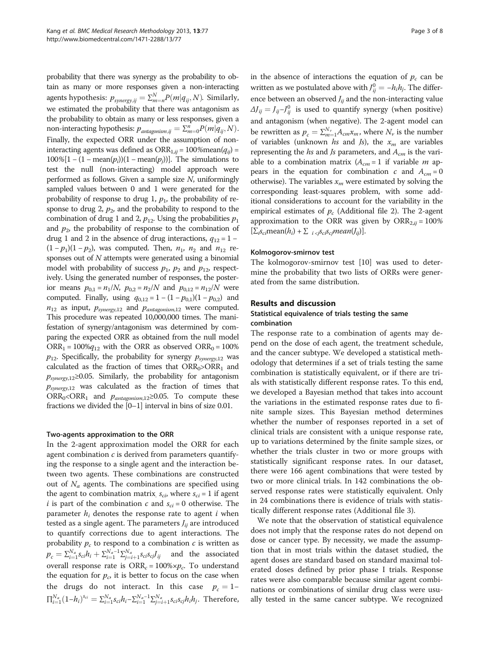probability that there was synergy as the probability to obtain as many or more responses given a non-interacting agents hypothesis:  $p_{synery,ij} = \sum_{m=n}^{N} P(m|q_{ij}, N)$ . Similarly, we estimated the probability that there was antagonism as the probability to obtain as many or less responses, given a non-interacting hypothesis:  $p_{antagonism,ij} = \sum_{m=0}^{n} P(m|q_{ij}, N)$ .<br>Finally, the armorted OBB under the assumption of non-Finally, the expected ORR under the assumption of noninteracting agents was defined as  $ORR_{1,ii} = 100\%$ mean $(q_{ii})$  =  $100\%$ [1 – (1 – mean $(p_i)$ )(1 – mean $(p_j)$ )]. The simulations to the null (pop-interacting) model approach were test the null (non-interacting) model approach were performed as follows. Given a sample size N, uniformingly sampled values between 0 and 1 were generated for the probability of response to drug 1,  $p_1$ , the probability of response to drug 2,  $p_2$ , and the probability to respond to the combination of drug 1 and 2,  $p_{12}$ . Using the probabilities  $p_1$ and  $p<sub>2</sub>$ , the probability of response to the combination of drug 1 and 2 in the absence of drug interactions,  $q_{12} = 1 (1 - p_1)(1 - p_2)$ , was computed. Then,  $n_1$ ,  $n_2$  and  $n_{12}$  responses out of  $N$  attempts were generated using a binomial model with probability of success  $p_1$ ,  $p_2$  and  $p_{12}$ , respectively. Using the generated number of responses, the posterior means  $p_{0,1} = n_1/N$ ,  $p_{0,2} = n_2/N$  and  $p_{0,12} = n_{12}/N$  were computed. Finally, using  $q_{0,12} = 1 - (1 - p_{0,1})(1 - p_{0,2})$  and  $n_{12}$  as input,  $p_{synergy,12}$  and  $p_{antagonism,12}$  were computed. This procedure was repeated 10,000,000 times. The manifestation of synergy/antagonism was determined by comparing the expected ORR as obtained from the null model  $ORR_1 = 100\%q_{12}$  with the ORR as observed ORR<sub>0</sub> = 100%  $p_{12}$ . Specifically, the probability for synergy  $p_{synergy,12}$  was calculated as the fraction of times that  $\text{ORR}_0 > \text{ORR}_1$  and  $p_{\text{swergy},12}$ ≥0.05. Similarly, the probability for antagonism  $p_{synergy,12}$  was calculated as the fraction of times that  $ORR_0 < ORR_1$  and  $p_{antagonism,12} \ge 0.05$ . To compute these fractions we divided the [0–1] interval in bins of size 0.01.

#### Two-agents approximation to the ORR

In the 2-agent approximation model the ORR for each agent combination  $c$  is derived from parameters quantifying the response to a single agent and the interaction between two agents. These combinations are constructed out of  $N_a$  agents. The combinations are specified using the agent to combination matrix  $s_{ci}$ , where  $s_{ci} = 1$  if agent *i* is part of the combination *c* and  $s_{ci} = 0$  otherwise. The parameter  $h_i$  denotes the response rate to agent i when tested as a single agent. The parameters  $J_{ii}$  are introduced to quantify corrections due to agent interactions. The probability  $p_c$  to respond to a combination  $c$  is written as  $p_c = \sum_{i=1}^{N_a} s_{ci} h_i + \sum_{i=1}^{N_a-1} \sum_{j=i+1}^{N_a} s_{ci} s_{cj} J_{ij}$  and the associated overall response rate is  $\text{ORR}_c = 100\% \times p_c$ . To understand the equation for  $p_c$ , it is better to focus on the case when the drugs do not interact. In this case  $p_c = 1 \Pi_{i=1}^{N_a}(1-h_i)^{s_{ci}} = \sum_{i=1}^{N_a} s_{ci}h_i - \sum_{i=1}^{N_a-1} \sum_{j=i+1}^{N_a} s_{ci}s_{cj}h_ih_j$ . Therefore,

in the absence of interactions the equation of  $p_c$  can be written as we postulated above with  $J_{ij}^0 = -h_i h_j$ . The differ-<br>angelectures are absented L and the new interacting value ence between an observed  $J_{ij}$  and the non-interacting value  $\Delta J_{ij} = J_{ij} - J_{ij}^0$  is used to quantify synergy (when positive)<br>is a distance in the properties). The 2 second weakly see and antagonism (when negative). The 2-agent model can be rewritten as  $p_c = \sum_{m=1}^{N_v} A_{cm} x_m$ , where  $N_v$  is the number<br>of variables (unknown less and le), the x are variables of variables (unknown hs and Js), the  $x_m$  are variables representing the  $hs$  and  $Js$  parameters, and  $A_{cm}$  is the variable to a combination matrix  $(A<sub>cm</sub> = 1$  if variable *m* appears in the equation for combination c and  $A_{cm} = 0$ otherwise). The variables  $x_m$  were estimated by solving the corresponding least-squares problem, with some additional considerations to account for the variability in the empirical estimates of  $p_c$  (Additional file [2\)](#page-7-0). The 2-agent approximation to the ORR was given by  $\text{ORR}_{2,ii} = 100\%$  $[\sum_{i}S_{ci}mean(h_i) + \sum_{i < j}S_{ci}S_{cj}mean(J_{ij})].$ 

#### Kolmogorov-smirnov test

The kolmogorov-smirnov test [\[10](#page-7-0)] was used to determine the probability that two lists of ORRs were generated from the same distribution.

#### Results and discussion

# Statistical equivalence of trials testing the same combination

The response rate to a combination of agents may depend on the dose of each agent, the treatment schedule, and the cancer subtype. We developed a statistical methodology that determines if a set of trials testing the same combination is statistically equivalent, or if there are trials with statistically different response rates. To this end, we developed a Bayesian method that takes into account the variations in the estimated response rates due to finite sample sizes. This Bayesian method determines whether the number of responses reported in a set of clinical trials are consistent with a unique response rate, up to variations determined by the finite sample sizes, or whether the trials cluster in two or more groups with statistically significant response rates. In our dataset, there were 166 agent combinations that were tested by two or more clinical trials. In 142 combinations the observed response rates were statistically equivalent. Only in 24 combinations there is evidence of trials with statistically different response rates (Additional file [3\)](#page-7-0).

We note that the observation of statistical equivalence does not imply that the response rates do not depend on dose or cancer type. By necessity, we made the assumption that in most trials within the dataset studied, the agent doses are standard based on standard maximal tolerated doses defined by prior phase I trials. Response rates were also comparable because similar agent combinations or combinations of similar drug class were usually tested in the same cancer subtype. We recognized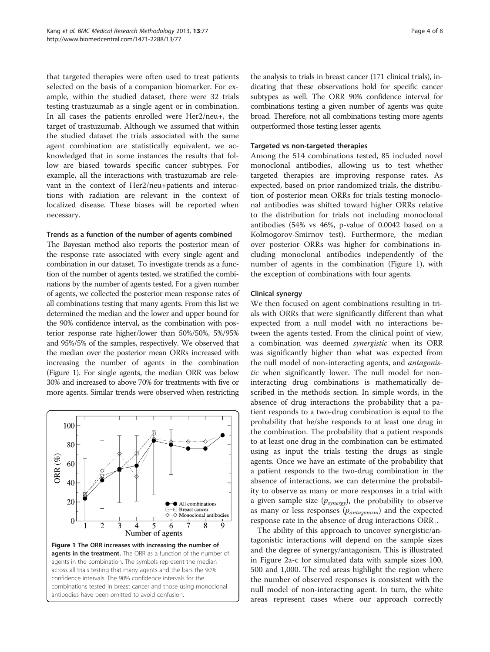that targeted therapies were often used to treat patients selected on the basis of a companion biomarker. For example, within the studied dataset, there were 32 trials testing trastuzumab as a single agent or in combination. In all cases the patients enrolled were Her2/neu+, the target of trastuzumab. Although we assumed that within the studied dataset the trials associated with the same agent combination are statistically equivalent, we acknowledged that in some instances the results that follow are biased towards specific cancer subtypes. For example, all the interactions with trastuzumab are relevant in the context of Her2/neu+patients and interactions with radiation are relevant in the context of localized disease. These biases will be reported when necessary.

#### Trends as a function of the number of agents combined

The Bayesian method also reports the posterior mean of the response rate associated with every single agent and combination in our dataset. To investigate trends as a function of the number of agents tested, we stratified the combinations by the number of agents tested. For a given number of agents, we collected the posterior mean response rates of all combinations testing that many agents. From this list we determined the median and the lower and upper bound for the 90% confidence interval, as the combination with posterior response rate higher/lower than 50%/50%, 5%/95% and 95%/5% of the samples, respectively. We observed that the median over the posterior mean ORRs increased with increasing the number of agents in the combination (Figure 1). For single agents, the median ORR was below 30% and increased to above 70% for treatments with five or more agents. Similar trends were observed when restricting



the analysis to trials in breast cancer (171 clinical trials), indicating that these observations hold for specific cancer subtypes as well. The ORR 90% confidence interval for combinations testing a given number of agents was quite broad. Therefore, not all combinations testing more agents outperformed those testing lesser agents.

### Targeted vs non-targeted therapies

Among the 514 combinations tested, 85 included novel monoclonal antibodies, allowing us to test whether targeted therapies are improving response rates. As expected, based on prior randomized trials, the distribution of posterior mean ORRs for trials testing monoclonal antibodies was shifted toward higher ORRs relative to the distribution for trials not including monoclonal antibodies (54% vs 46%, p-value of 0.0042 based on a Kolmogorov-Smirnov test). Furthermore, the median over posterior ORRs was higher for combinations including monoclonal antibodies independently of the number of agents in the combination (Figure 1), with the exception of combinations with four agents.

#### Clinical synergy

We then focused on agent combinations resulting in trials with ORRs that were significantly different than what expected from a null model with no interactions between the agents tested. From the clinical point of view, a combination was deemed synergistic when its ORR was significantly higher than what was expected from the null model of non-interacting agents, and *antagonis*tic when significantly lower. The null model for noninteracting drug combinations is mathematically described in the methods section. In simple words, in the absence of drug interactions the probability that a patient responds to a two-drug combination is equal to the probability that he/she responds to at least one drug in the combination. The probability that a patient responds to at least one drug in the combination can be estimated using as input the trials testing the drugs as single agents. Once we have an estimate of the probability that a patient responds to the two-drug combination in the absence of interactions, we can determine the probability to observe as many or more responses in a trial with a given sample size  $(p_{\text{synergy}})$ , the probability to observe as many or less responses  $(p_{antagonism})$  and the expected response rate in the absence of drug interactions  $\text{ORR}_1$ .

The ability of this approach to uncover synergistic/antagonistic interactions will depend on the sample sizes and the degree of synergy/antagonism. This is illustrated in Figure [2a](#page-4-0)-c for simulated data with sample sizes 100, 500 and 1,000. The red areas highlight the region where the number of observed responses is consistent with the null model of non-interacting agent. In turn, the white areas represent cases where our approach correctly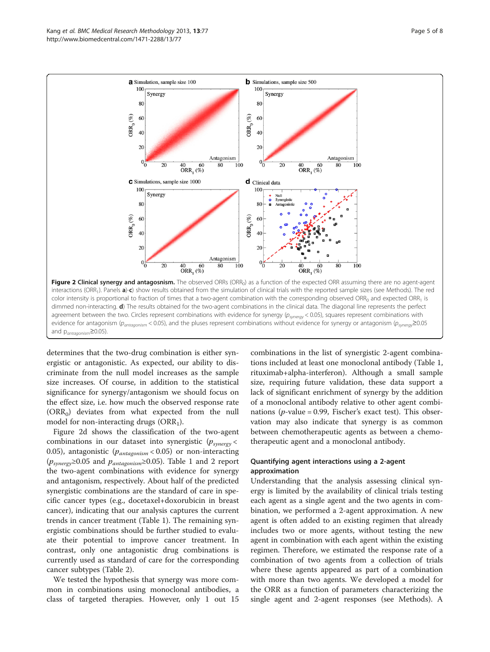<span id="page-4-0"></span>

determines that the two-drug combination is either synergistic or antagonistic. As expected, our ability to discriminate from the null model increases as the sample size increases. Of course, in addition to the statistical significance for synergy/antagonism we should focus on the effect size, i.e. how much the observed response rate  $(ORR<sub>0</sub>)$  deviates from what expected from the null model for non-interacting drugs  $(ORR<sub>1</sub>)$ .

Figure 2d shows the classification of the two-agent combinations in our dataset into synergistic  $(p_{\text{synergy}} <$ 0.05), antagonistic  $(p_{antagonism} < 0.05)$  or non-interacting  $(p_{synergy} \ge 0.05$  and  $p_{antagonism} \ge 0.05$ ). Table [1](#page-5-0) and [2](#page-5-0) report the two-agent combinations with evidence for synergy and antagonism, respectively. About half of the predicted synergistic combinations are the standard of care in specific cancer types (e.g., docetaxel+doxorubicin in breast cancer), indicating that our analysis captures the current trends in cancer treatment (Table [1\)](#page-5-0). The remaining synergistic combinations should be further studied to evaluate their potential to improve cancer treatment. In contrast, only one antagonistic drug combinations is currently used as standard of care for the corresponding cancer subtypes (Table [2\)](#page-5-0).

We tested the hypothesis that synergy was more common in combinations using monoclonal antibodies, a class of targeted therapies. However, only 1 out 15

combinations in the list of synergistic 2-agent combinations included at least one monoclonal antibody (Table [1](#page-5-0), rituximab+alpha-interferon). Although a small sample size, requiring future validation, these data support a lack of significant enrichment of synergy by the addition of a monoclonal antibody relative to other agent combinations ( $p$ -value = 0.99, Fischer's exact test). This observation may also indicate that synergy is as common between chemotherapeutic agents as between a chemotherapeutic agent and a monoclonal antibody.

## Quantifying agent interactions using a 2-agent approximation

Understanding that the analysis assessing clinical synergy is limited by the availability of clinical trials testing each agent as a single agent and the two agents in combination, we performed a 2-agent approximation. A new agent is often added to an existing regimen that already includes two or more agents, without testing the new agent in combination with each agent within the existing regimen. Therefore, we estimated the response rate of a combination of two agents from a collection of trials where these agents appeared as part of a combination with more than two agents. We developed a model for the ORR as a function of parameters characterizing the single agent and 2-agent responses (see [Methods\)](#page-1-0). A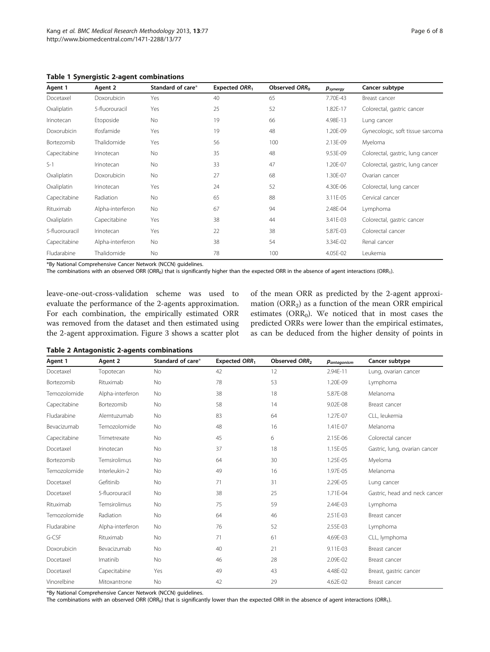<span id="page-5-0"></span>Table 1 Synergistic 2-agent combinations

| Agent 1        | Agent 2          | Standard of care* | Expected ORR1 | Observed ORR <sub>0</sub> | $p_{\text{synerqy}}$ | Cancer subtype                   |
|----------------|------------------|-------------------|---------------|---------------------------|----------------------|----------------------------------|
| Docetaxel      | Doxorubicin      | Yes               | 40            | 65                        | 7.70E-43             | Breast cancer                    |
| Oxaliplatin    | 5-fluorouracil   | Yes               | 25            | 52                        | 1.82E-17             | Colorectal, gastric cancer       |
| Irinotecan     | Etoposide        | <b>No</b>         | 19            | 66                        | 4.98E-13             | Lung cancer                      |
| Doxorubicin    | Ifosfamide       | Yes               | 19            | 48                        | 1.20E-09             | Gynecologic, soft tissue sarcoma |
| Bortezomib     | Thalidomide      | Yes               | 56            | 100                       | 2.13E-09             | Myeloma                          |
| Capecitabine   | Irinotecan       | <b>No</b>         | 35            | 48                        | 9.53E-09             | Colorectal, gastric, lung cancer |
| $S-1$          | Irinotecan       | <b>No</b>         | 33            | 47                        | 1.20E-07             | Colorectal, gastric, lung cancer |
| Oxaliplatin    | Doxorubicin      | <b>No</b>         | 27            | 68                        | 1.30E-07             | Ovarian cancer                   |
| Oxaliplatin    | Irinotecan       | Yes               | 24            | 52                        | 4.30E-06             | Colorectal, lung cancer          |
| Capecitabine   | Radiation        | No.               | 65            | 88                        | 3.11E-05             | Cervical cancer                  |
| Rituximab      | Alpha-interferon | No                | 67            | 94                        | 2.48E-04             | Lymphoma                         |
| Oxaliplatin    | Capecitabine     | Yes               | 38            | 44                        | 3.41E-03             | Colorectal, gastric cancer       |
| 5-fluorouracil | Irinotecan       | Yes               | 22            | 38                        | 5.87E-03             | Colorectal cancer                |
| Capecitabine   | Alpha-interferon | No                | 38            | 54                        | 3.34E-02             | Renal cancer                     |
| Fludarabine    | Thalidomide      | No                | 78            | 100                       | 4.05E-02             | Leukemia                         |

\*By National Comprehensive Cancer Network (NCCN) guidelines.

The combinations with an observed ORR (ORR<sub>0</sub>) that is significantly higher than the expected ORR in the absence of agent interactions (ORR<sub>1</sub>).

leave-one-out-cross-validation scheme was used to evaluate the performance of the 2-agents approximation. For each combination, the empirically estimated ORR was removed from the dataset and then estimated using the 2-agent approximation. Figure [3](#page-6-0) shows a scatter plot of the mean ORR as predicted by the 2-agent approximation (ORR<sub>2</sub>) as a function of the mean ORR empirical estimates ( $\text{ORR}_0$ ). We noticed that in most cases the predicted ORRs were lower than the empirical estimates, as can be deduced from the higher density of points in

#### Table 2 Antagonistic 2-agents combinations

| Agent 1      | Agent 2          | Standard of care* | Expected ORR1 | Observed ORR <sub>2</sub> | Pantagonism | Cancer subtype                |
|--------------|------------------|-------------------|---------------|---------------------------|-------------|-------------------------------|
| Docetaxel    | Topotecan        | <b>No</b>         | 42            | 12                        | 2.94E-11    | Lung, ovarian cancer          |
| Bortezomib   | Rituximab        | <b>No</b>         | 78            | 53                        | 1.20E-09    | Lymphoma                      |
| Temozolomide | Alpha-interferon | <b>No</b>         | 38            | 18                        | 5.87E-08    | Melanoma                      |
| Capecitabine | Bortezomib       | <b>No</b>         | 58            | 14                        | 9.02E-08    | Breast cancer                 |
| Fludarabine  | Alemtuzumab      | No                | 83            | 64                        | 1.27E-07    | CLL, leukemia                 |
| Bevacizumab  | Temozolomide     | No                | 48            | 16                        | 1.41E-07    | Melanoma                      |
| Capecitabine | Trimetrexate     | <b>No</b>         | 45            | 6                         | 2.15E-06    | Colorectal cancer             |
| Docetaxel    | Irinotecan       | <b>No</b>         | 37            | 18                        | 1.15E-05    | Gastric, lung, ovarian cancer |
| Bortezomib   | Temsirolimus     | No                | 64            | 30                        | 1.25E-05    | Myeloma                       |
| Temozolomide | Interleukin-2    | <b>No</b>         | 49            | 16                        | 1.97E-05    | Melanoma                      |
| Docetaxel    | Gefitinib        | <b>No</b>         | 71            | 31                        | 2.29E-05    | Lung cancer                   |
| Docetaxel    | 5-fluorouracil   | <b>No</b>         | 38            | 25                        | 1.71E-04    | Gastric, head and neck cancer |
| Rituximab    | Temsirolimus     | No                | 75            | 59                        | 2.44E-03    | Lymphoma                      |
| Temozolomide | Radiation        | <b>No</b>         | 64            | 46                        | 2.51E-03    | Breast cancer                 |
| Fludarabine  | Alpha-interferon | <b>No</b>         | 76            | 52                        | 2.55E-03    | Lymphoma                      |
| G-CSF        | Rituximab        | <b>No</b>         | 71            | 61                        | 4.69E-03    | CLL, lymphoma                 |
| Doxorubicin  | Bevacizumab      | <b>No</b>         | 40            | 21                        | 9.11E-03    | Breast cancer                 |
| Docetaxel    | Imatinib         | <b>No</b>         | 46            | 28                        | 2.09E-02    | Breast cancer                 |
| Docetaxel    | Capecitabine     | Yes               | 49            | 43                        | 4.48E-02    | Breast, gastric cancer        |
| Vinorelbine  | Mitoxantrone     | <b>No</b>         | 42            | 29                        | 4.62E-02    | Breast cancer                 |

\*By National Comprehensive Cancer Network (NCCN) guidelines.

The combinations with an observed ORR (ORR<sub>0</sub>) that is significantly lower than the expected ORR in the absence of agent interactions (ORR<sub>1</sub>).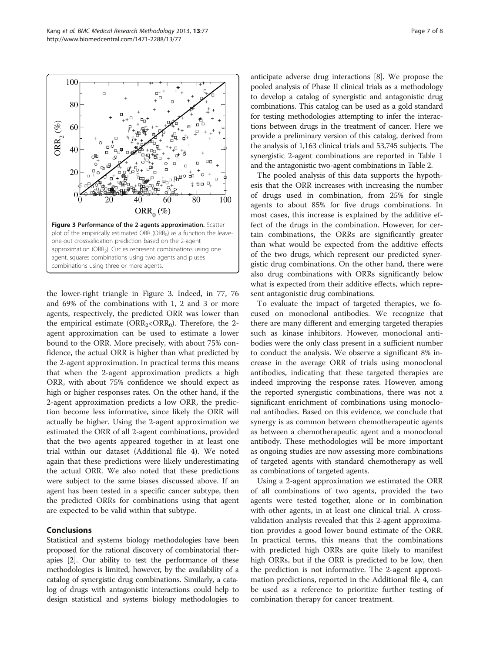<span id="page-6-0"></span>

the lower-right triangle in Figure 3. Indeed, in 77, 76 and 69% of the combinations with 1, 2 and 3 or more agents, respectively, the predicted ORR was lower than the empirical estimate ( $\text{ORR}_2 \text{R}_0$ ). Therefore, the 2agent approximation can be used to estimate a lower bound to the ORR. More precisely, with about 75% confidence, the actual ORR is higher than what predicted by the 2-agent approximation. In practical terms this means that when the 2-agent approximation predicts a high ORR, with about 75% confidence we should expect as high or higher responses rates. On the other hand, if the 2-agent approximation predicts a low ORR, the prediction become less informative, since likely the ORR will actually be higher. Using the 2-agent approximation we estimated the ORR of all 2-agent combinations, provided that the two agents appeared together in at least one trial within our dataset (Additional file [4](#page-7-0)). We noted again that these predictions were likely underestimating the actual ORR. We also noted that these predictions were subject to the same biases discussed above. If an agent has been tested in a specific cancer subtype, then the predicted ORRs for combinations using that agent are expected to be valid within that subtype.

# Conclusions

Statistical and systems biology methodologies have been proposed for the rational discovery of combinatorial therapies [[2\]](#page-7-0). Our ability to test the performance of these methodologies is limited, however, by the availability of a catalog of synergistic drug combinations. Similarly, a catalog of drugs with antagonistic interactions could help to design statistical and systems biology methodologies to

anticipate adverse drug interactions [\[8](#page-7-0)]. We propose the pooled analysis of Phase II clinical trials as a methodology to develop a catalog of synergistic and antagonistic drug combinations. This catalog can be used as a gold standard for testing methodologies attempting to infer the interactions between drugs in the treatment of cancer. Here we provide a preliminary version of this catalog, derived from the analysis of 1,163 clinical trials and 53,745 subjects. The synergistic 2-agent combinations are reported in Table [1](#page-5-0) and the antagonistic two-agent combinations in Table [2](#page-5-0).

The pooled analysis of this data supports the hypothesis that the ORR increases with increasing the number of drugs used in combination, from 25% for single agents to about 85% for five drugs combinations. In most cases, this increase is explained by the additive effect of the drugs in the combination. However, for certain combinations, the ORRs are significantly greater than what would be expected from the additive effects of the two drugs, which represent our predicted synergistic drug combinations. On the other hand, there were also drug combinations with ORRs significantly below what is expected from their additive effects, which represent antagonistic drug combinations.

To evaluate the impact of targeted therapies, we focused on monoclonal antibodies. We recognize that there are many different and emerging targeted therapies such as kinase inhibitors. However, monoclonal antibodies were the only class present in a sufficient number to conduct the analysis. We observe a significant 8% increase in the average ORR of trials using monoclonal antibodies, indicating that these targeted therapies are indeed improving the response rates. However, among the reported synergistic combinations, there was not a significant enrichment of combinations using monoclonal antibodies. Based on this evidence, we conclude that synergy is as common between chemotherapeutic agents as between a chemotherapeutic agent and a monoclonal antibody. These methodologies will be more important as ongoing studies are now assessing more combinations of targeted agents with standard chemotherapy as well as combinations of targeted agents.

Using a 2-agent approximation we estimated the ORR of all combinations of two agents, provided the two agents were tested together, alone or in combination with other agents, in at least one clinical trial. A crossvalidation analysis revealed that this 2-agent approximation provides a good lower bound estimate of the ORR. In practical terms, this means that the combinations with predicted high ORRs are quite likely to manifest high ORRs, but if the ORR is predicted to be low, then the prediction is not informative. The 2-agent approximation predictions, reported in the Additional file [4](#page-7-0), can be used as a reference to prioritize further testing of combination therapy for cancer treatment.